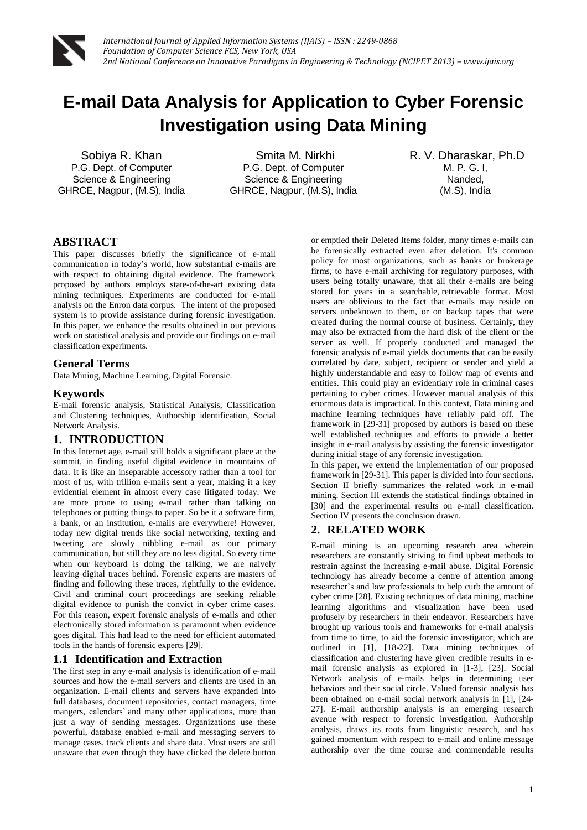

# **E-mail Data Analysis for Application to Cyber Forensic Investigation using Data Mining**

Sobiya R. Khan P.G. Dept. of Computer Science & Engineering GHRCE, Nagpur, (M.S), India

Smita M. Nirkhi P.G. Dept. of Computer Science & Engineering GHRCE, Nagpur, (M.S), India R. V. Dharaskar, Ph.D M. P. G. I, Nanded, (M.S), India

# **ABSTRACT**

This paper discusses briefly the significance of e-mail communication in today's world, how substantial e-mails are with respect to obtaining digital evidence. The framework proposed by authors employs state-of-the-art existing data mining techniques. Experiments are conducted for e-mail analysis on the Enron data corpus. The intent of the proposed system is to provide assistance during forensic investigation. In this paper, we enhance the results obtained in our previous work on statistical analysis and provide our findings on e-mail classification experiments.

### **General Terms**

Data Mining, Machine Learning, Digital Forensic.

### **Keywords**

E-mail forensic analysis, Statistical Analysis, Classification and Clustering techniques, Authorship identification, Social Network Analysis.

## **1. INTRODUCTION**

In this Internet age, e-mail still holds a significant place at the summit, in finding useful digital evidence in mountains of data. It is like an inseparable accessory rather than a tool for most of us, with trillion e-mails sent a year, making it a key evidential element in almost every case litigated today. We are more prone to using e-mail rather than talking on telephones or putting things to paper. So be it a software firm, a bank, or an institution, e-mails are everywhere! However, today new digital trends like social networking, texting and tweeting are slowly nibbling e-mail as our primary communication, but still they are no less digital. So every time when our keyboard is doing the talking, we are naively leaving digital traces behind. Forensic experts are masters of finding and following these traces, rightfully to the evidence. Civil and criminal court proceedings are seeking reliable digital evidence to punish the convict in cyber crime cases. For this reason, expert forensic analysis of e-mails and other electronically stored information is paramount when evidence goes digital. This had lead to the need for efficient automated tools in the hands of forensic experts [29].

## **1.1 Identification and Extraction**

The first step in any e-mail analysis is identification of e-mail sources and how the e-mail servers and clients are used in an organization. E-mail clients and servers have expanded into full databases, document repositories, contact managers, time mangers, calendars' and many other applications, more than just a way of sending messages. Organizations use these powerful, database enabled e-mail and messaging servers to manage cases, track clients and share data. Most users are still unaware that even though they have clicked the delete button

or emptied their Deleted Items folder, many times e-mails can be forensically extracted even after deletion. It's common policy for most organizations, such as banks or brokerage firms, to have e-mail archiving for regulatory purposes, with users being totally unaware, that all their e-mails are being stored for years in a searchable, retrievable format. Most users are oblivious to the fact that e-mails may reside on servers unbeknown to them, or on backup tapes that were created during the normal course of business. Certainly, they may also be extracted from the hard disk of the client or the server as well. If properly conducted and managed the forensic analysis of e-mail yields documents that can be easily correlated by date, subject, recipient or sender and yield a highly understandable and easy to follow map of events and entities. This could play an evidentiary role in criminal cases pertaining to cyber crimes. However manual analysis of this enormous data is impractical. In this context, Data mining and machine learning techniques have reliably paid off. The framework in [29-31] proposed by authors is based on these well established techniques and efforts to provide a better insight in e-mail analysis by assisting the forensic investigator during initial stage of any forensic investigation.

In this paper, we extend the implementation of our proposed framework in [29-31]. This paper is divided into four sections. Section II briefly summarizes the related work in e-mail mining. Section III extends the statistical findings obtained in [30] and the experimental results on e-mail classification. Section IV presents the conclusion drawn.

# **2. RELATED WORK**

E-mail mining is an upcoming research area wherein researchers are constantly striving to find upbeat methods to restrain against the increasing e-mail abuse. Digital Forensic technology has already become a centre of attention among researcher's and law professionals to help curb the amount of cyber crime [28]. Existing techniques of data mining, machine learning algorithms and visualization have been used profusely by researchers in their endeavor. Researchers have brought up various tools and frameworks for e-mail analysis from time to time, to aid the forensic investigator, which are outlined in [1], [18-22]. Data mining techniques of classification and clustering have given credible results in email forensic analysis as explored in [1-3], [23]. Social Network analysis of e-mails helps in determining user behaviors and their social circle. Valued forensic analysis has been obtained on e-mail social network analysis in [1], [24- 27]. E-mail authorship analysis is an emerging research avenue with respect to forensic investigation. Authorship analysis, draws its roots from linguistic research, and has gained momentum with respect to e-mail and online message authorship over the time course and commendable results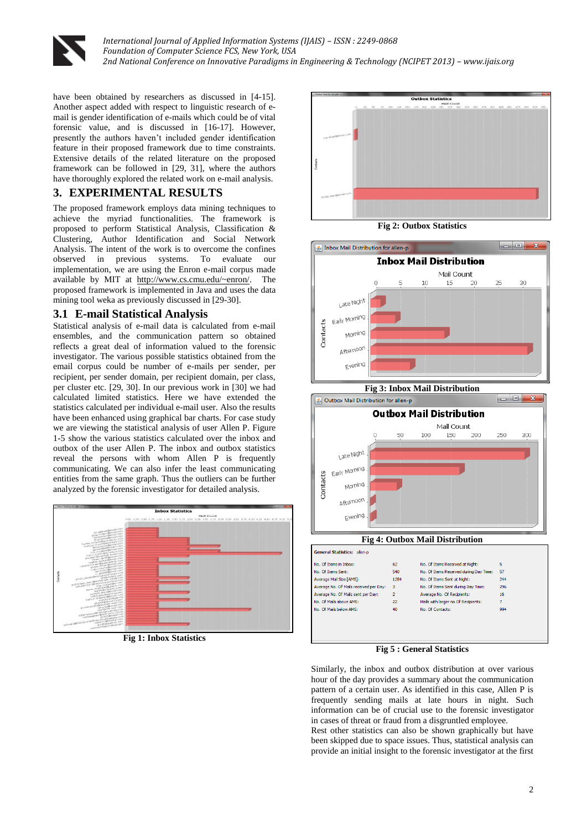

have been obtained by researchers as discussed in [4-15]. Another aspect added with respect to linguistic research of email is gender identification of e-mails which could be of vital forensic value, and is discussed in [16-17]. However, presently the authors haven't included gender identification feature in their proposed framework due to time constraints. Extensive details of the related literature on the proposed framework can be followed in [29, 31], where the authors have thoroughly explored the related work on e-mail analysis.

# **3. EXPERIMENTAL RESULTS**

The proposed framework employs data mining techniques to achieve the myriad functionalities. The framework is proposed to perform Statistical Analysis, Classification & Clustering, Author Identification and Social Network Analysis. The intent of the work is to overcome the confines observed in previous systems. To evaluate our implementation, we are using the Enron e-mail corpus made available by MIT at [http://www.cs.cmu.edu/~enron/.](http://www.cs.cmu.edu/~enron/) The proposed framework is implemented in Java and uses the data mining tool weka as previously discussed in [29-30].

## **3.1 E-mail Statistical Analysis**

Statistical analysis of e-mail data is calculated from e-mail ensembles, and the communication pattern so obtained reflects a great deal of information valued to the forensic investigator. The various possible statistics obtained from the email corpus could be number of e-mails per sender, per recipient, per sender domain, per recipient domain, per class, per cluster etc. [29, 30]. In our previous work in [30] we had calculated limited statistics. Here we have extended the statistics calculated per individual e-mail user. Also the results have been enhanced using graphical bar charts. For case study we are viewing the statistical analysis of user Allen P. Figure 1-5 show the various statistics calculated over the inbox and outbox of the user Allen P. The inbox and outbox statistics reveal the persons with whom Allen P is frequently communicating. We can also infer the least communicating entities from the same graph. Thus the outliers can be further analyzed by the forensic investigator for detailed analysis.



**Fig 1: Inbox Statistics**



**Fig 2: Outbox Statistics**



**Fig 3: Inbox Mail Distribution**



**Fig 4: Outbox Mail Distribution**



**Fig 5 : General Statistics** 

Similarly, the inbox and outbox distribution at over various hour of the day provides a summary about the communication pattern of a certain user. As identified in this case, Allen P is frequently sending mails at late hours in night. Such information can be of crucial use to the forensic investigator in cases of threat or fraud from a disgruntled employee.

Rest other statistics can also be shown graphically but have been skipped due to space issues. Thus, statistical analysis can provide an initial insight to the forensic investigator at the first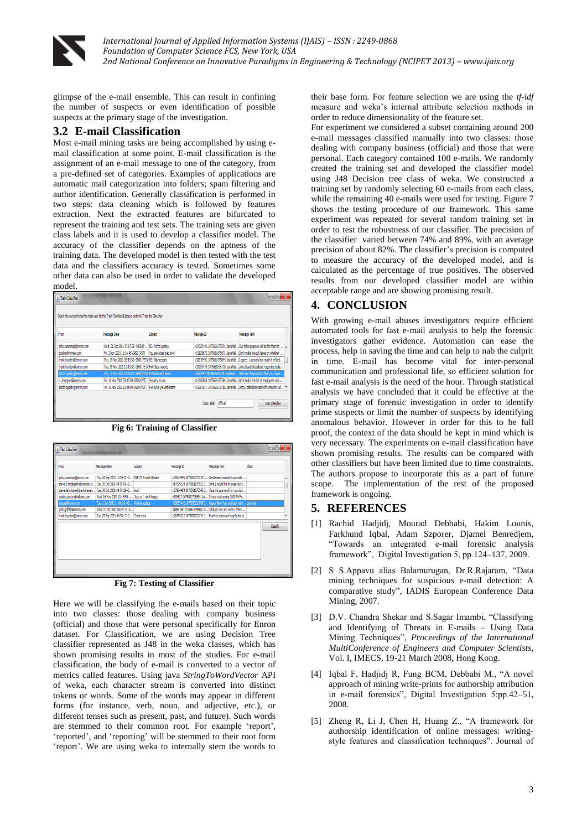

*International Journal of Applied Information Systems (IJAIS) – ISSN : 2249-0868 Foundation of Computer Science FCS, New York, USA 2nd National Conference on Innovative Paradigms in Engineering & Technology (NCIPET 2013) – www.ijais.org*

glimpse of the e-mail ensemble. This can result in confining the number of suspects or even identification of possible suspects at the primary stage of the investigation.

#### **3.2 E-mail Classification**

Most e-mail mining tasks are being accomplished by using email classification at some point. E-mail classification is the assignment of an e-mail message to one of the category, from a pre-defined set of categories. Examples of applications are automatic mail categorization into folders; spam filtering and author identification. Generally classification is performed in two steps: data cleaning which is followed by features extraction. Next the extracted features are bifurcated to represent the training and test sets. The training sets are given class labels and it is used to develop a classifier model. The accuracy of the classifier depends on the aptness of the training data. The developed model is then tested with the test data and the classifiers accuracy is tested. Sometimes some other data can also be used in order to validate the developed model.

| Select the records from the table and hit the Train Classifer Button in order to Train the Classifier |                                                             |                        |            |                                                                              |
|-------------------------------------------------------------------------------------------------------|-------------------------------------------------------------|------------------------|------------|------------------------------------------------------------------------------|
| From                                                                                                  | Message Date                                                | Subject                | Message ID | Message Text                                                                 |
| ichn.cummings@enron.com                                                                               | Wed, 31 Oct 2001 07:07:58 -0800 (P    RE: Refco Update      |                        |            | <24325440.1075861675591.3avaMail Our initial proposal will be for them to    |
| bcolins@nymex.com                                                                                     | Fri, 2 Nov 2001 11:16:45 -0800 (PST)                        | You are a bad bad boy! |            | <15925673.1075861675671.JavaMai Don't make me pull tapes on whether          |
| frank.havden@enron.com                                                                                | Thu. 15 Nov 2001 05:40:50 -0800 (PST) RE: Slide reports     |                        |            | <32639492.1075861675694.JavaMai II agree. Lavorato has made it official      |
| frank.havden@enron.com                                                                                | Thu, 15 Nov 2001 11:49:33-0800 (P5T) FW: Slide reports      |                        |            | <24093478.1075861675718.3avaMail John,David's feedback regarding looki       |
| dutch.quigley@enron.com                                                                               | Thu, 15 Nov 2001 14:20:21-0800 (PST) Positions with Enron   |                        |            | <4203497.1075861675739. JavaMai Here are the positions that you reque        |
| rshepperd@enron.com                                                                                   | Fri, 16 Nov 2001 08:32:59 -0800 (PST) Security access       |                        |            | <16106569.1075861675764.JavaMail Attached is the list of employees who       |
| dutch.auialev@enron.com                                                                               | Fri. 16 Nov 2001 12:34:48 -0800 (PST) FW: ENA 04 Settlement |                        |            | <19507617.1075861675786.JavaMail John.I called Ben and left a msg to cal   = |

**Fig 6: Training of Classifier**



**Fig 7: Testing of Classifier**

Here we will be classifying the e-mails based on their topic into two classes: those dealing with company business (official) and those that were personal specifically for Enron dataset. For Classification, we are using Decision Tree classifier represented as J48 in the weka classes, which has shown promising results in most of the studies. For e-mail classification, the body of e-mail is converted to a vector of metrics called features. Using java *StringToWordVector* API of weka, each character stream is converted into distinct tokens or words. Some of the words may appear in different forms (for instance, verb, noun, and adjective, etc.), or different tenses such as present, past, and future). Such words are stemmed to their common root. For example 'report', 'reported', and 'reporting' will be stemmed to their root form 'report'. We are using weka to internally stem the words to

their base form. For feature selection we are using the *tf-idf* measure and weka's internal attribute selection methods in order to reduce dimensionality of the feature set.

For experiment we considered a subset containing around 200 e-mail messages classified manually into two classes: those dealing with company business (official) and those that were personal. Each category contained 100 e-mails. We randomly created the training set and developed the classifier model using J48 Decision tree class of weka. We constructed a training set by randomly selecting 60 e-mails from each class, while the remaining 40 e-mails were used for testing. Figure 7 shows the testing procedure of our framework. This same experiment was repeated for several random training set in order to test the robustness of our classifier. The precision of the classifier varied between 74% and 89%, with an average precision of about 82%. The classifier's precision is computed to measure the accuracy of the developed model, and is calculated as the percentage of true positives. The observed results from our developed classifier model are within acceptable range and are showing promising result.

## **4. CONCLUSION**

With growing e-mail abuses investigators require efficient automated tools for fast e-mail analysis to help the forensic investigators gather evidence. Automation can ease the process, help in saving the time and can help to nab the culprit in time. E-mail has become vital for inter-personal communication and professional life, so efficient solution for fast e-mail analysis is the need of the hour. Through statistical analysis we have concluded that it could be effective at the primary stage of forensic investigation in order to identify prime suspects or limit the number of suspects by identifying anomalous behavior. However in order for this to be full proof, the context of the data should be kept in mind which is very necessary. The experiments on e-mail classification have shown promising results. The results can be compared with other classifiers but have been limited due to time constraints. The authors propose to incorporate this as a part of future scope. The implementation of the rest of the proposed framework is ongoing.

### **5. REFERENCES**

- [1] Rachid Hadjidj, Mourad Debbabi, Hakim Lounis, Farkhund Iqbal, Adam Szporer, Djamel Benredjem, "Towards an integrated e-mail forensic analysis framework", Digital Investigation 5, pp.124–137, 2009.
- [2] S S.Appavu alias Balamurugan, Dr.R.Rajaram, "Data mining techniques for suspicious e-mail detection: A comparative study", IADIS European Conference Data Mining, 2007.
- [3] D.V. Chandra Shekar and S.Sagar Imambi, "Classifying and Identifying of Threats in E-mails – Using Data Mining Techniques", *Proceedings of the International MultiConference of Engineers and Computer Scientists,*  Vol. I, IMECS, 19-21 March 2008, Hong Kong.
- [4] Iqbal F, Hadjidj R, Fung BCM, Debbabi M., "A novel approach of mining write-prints for authorship attribution in e-mail forensics", Digital Investigation 5:pp.42–51, 2008.
- [5] Zheng R, Li J, Chen H, Huang Z., "A framework for authorship identification of online messages: writingstyle features and classification techniques". Journal of